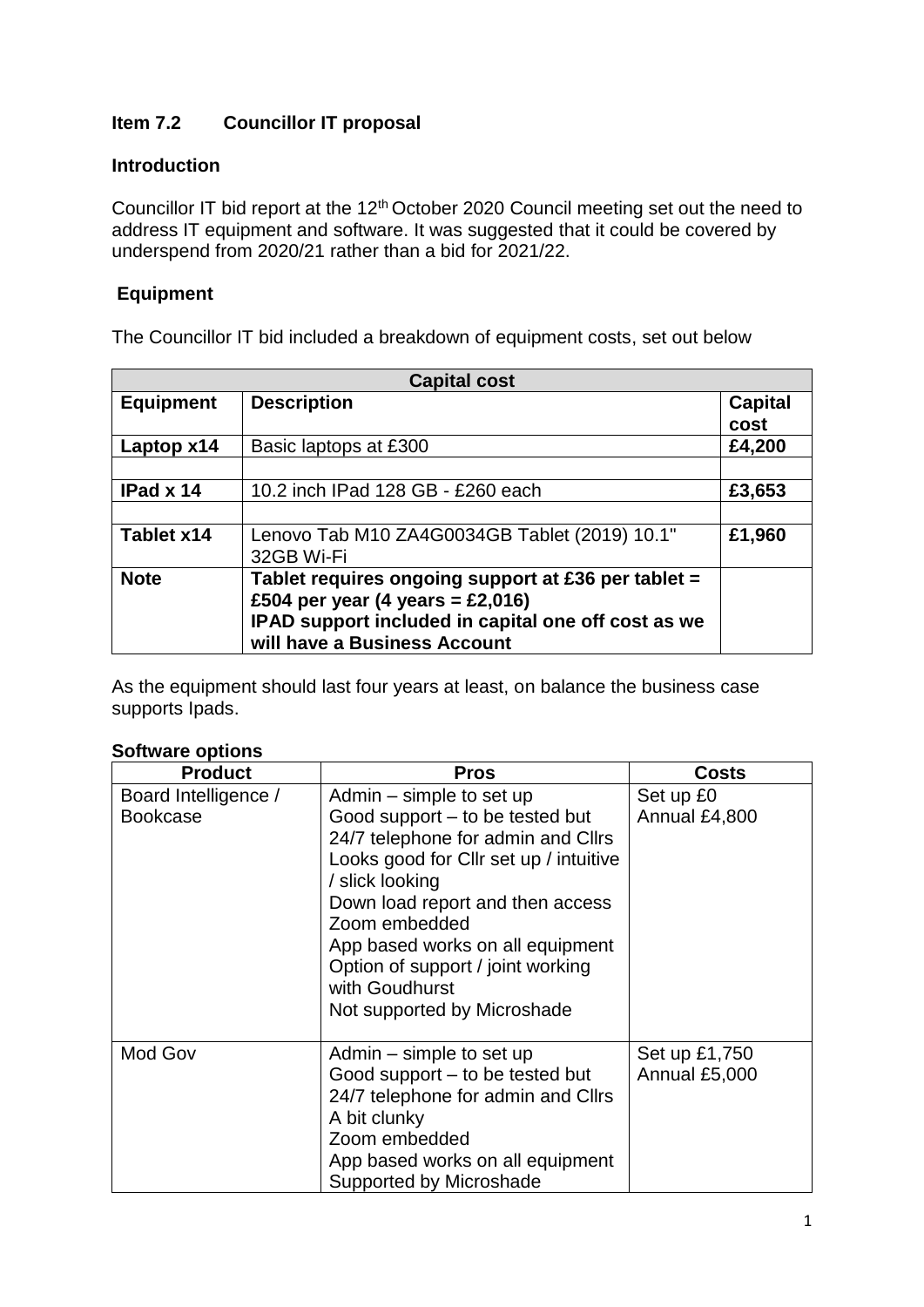# **Item 7.2 Councillor IT proposal**

### **Introduction**

Councillor IT bid report at the 12<sup>th</sup> October 2020 Council meeting set out the need to address IT equipment and software. It was suggested that it could be covered by underspend from 2020/21 rather than a bid for 2021/22.

## **Equipment**

The Councillor IT bid included a breakdown of equipment costs, set out below

| <b>Capital cost</b> |                                                                                                                                                                                |                        |  |
|---------------------|--------------------------------------------------------------------------------------------------------------------------------------------------------------------------------|------------------------|--|
| <b>Equipment</b>    | <b>Description</b>                                                                                                                                                             | <b>Capital</b><br>cost |  |
| Laptop x14          | Basic laptops at £300                                                                                                                                                          | £4,200                 |  |
|                     |                                                                                                                                                                                |                        |  |
| IPad x 14           | 10.2 inch IPad 128 GB - £260 each                                                                                                                                              | £3,653                 |  |
|                     |                                                                                                                                                                                |                        |  |
| Tablet x14          | Lenovo Tab M10 ZA4G0034GB Tablet (2019) 10.1"<br>32GB Wi-Fi                                                                                                                    | £1,960                 |  |
| <b>Note</b>         | Tablet requires ongoing support at £36 per tablet =<br>£504 per year (4 years = £2,016)<br>IPAD support included in capital one off cost as we<br>will have a Business Account |                        |  |

As the equipment should last four years at least, on balance the business case supports Ipads.

#### **Software options**

| <b>Product</b>                          | <b>Pros</b>                                                                                                                                                                                                                                                                                                                                   | <b>Costs</b>                   |
|-----------------------------------------|-----------------------------------------------------------------------------------------------------------------------------------------------------------------------------------------------------------------------------------------------------------------------------------------------------------------------------------------------|--------------------------------|
| Board Intelligence /<br><b>Bookcase</b> | Admin – simple to set up<br>Good support – to be tested but<br>24/7 telephone for admin and Cllrs<br>Looks good for Cllr set up / intuitive<br>/ slick looking<br>Down load report and then access<br>Zoom embedded<br>App based works on all equipment<br>Option of support / joint working<br>with Goudhurst<br>Not supported by Microshade | Set up £0<br>Annual £4,800     |
| Mod Gov                                 | Admin – simple to set up<br>Good support – to be tested but<br>24/7 telephone for admin and Cllrs<br>A bit clunky<br>Zoom embedded<br>App based works on all equipment<br>Supported by Microshade                                                                                                                                             | Set up £1,750<br>Annual £5,000 |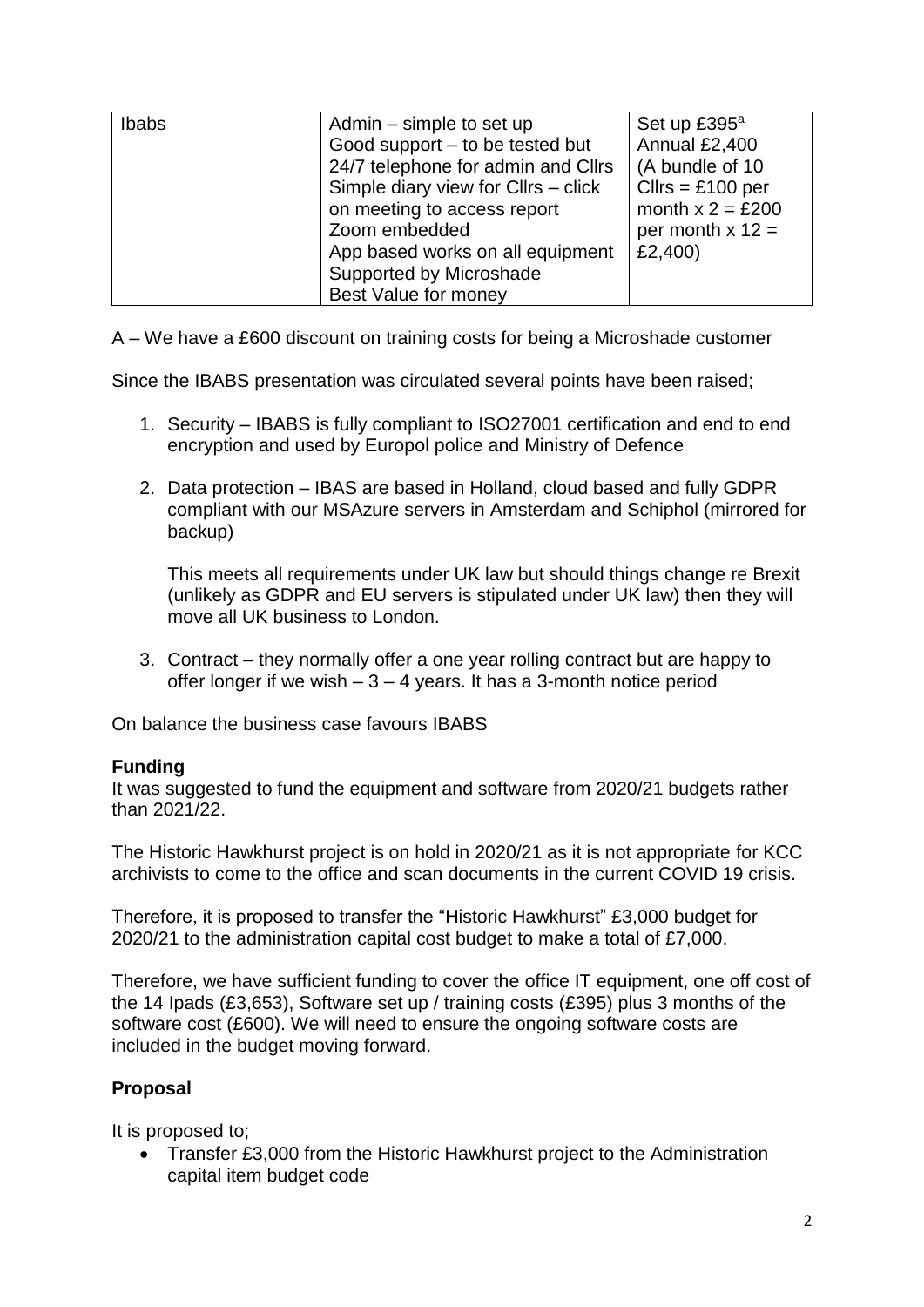| Ibabs | Admin – simple to set up<br>Good support - to be tested but<br>24/7 telephone for admin and Cllrs<br>Simple diary view for Cllrs - click<br>on meeting to access report<br>Zoom embedded<br>App based works on all equipment | Set up £395 <sup>a</sup><br>Annual £2,400<br>(A bundle of 10<br>$Clirs = £100$ per<br>month $x = £200$<br>per month $x$ 12 =<br>£2,400) |
|-------|------------------------------------------------------------------------------------------------------------------------------------------------------------------------------------------------------------------------------|-----------------------------------------------------------------------------------------------------------------------------------------|
|       | Supported by Microshade<br>Best Value for money                                                                                                                                                                              |                                                                                                                                         |

A – We have a £600 discount on training costs for being a Microshade customer

Since the IBABS presentation was circulated several points have been raised;

- 1. Security IBABS is fully compliant to ISO27001 certification and end to end encryption and used by Europol police and Ministry of Defence
- 2. Data protection IBAS are based in Holland, cloud based and fully GDPR compliant with our MSAzure servers in Amsterdam and Schiphol (mirrored for backup)

This meets all requirements under UK law but should things change re Brexit (unlikely as GDPR and EU servers is stipulated under UK law) then they will move all UK business to London.

3. Contract – they normally offer a one year rolling contract but are happy to offer longer if we wish  $-3 - 4$  years. It has a 3-month notice period

On balance the business case favours IBABS

#### **Funding**

It was suggested to fund the equipment and software from 2020/21 budgets rather than 2021/22.

The Historic Hawkhurst project is on hold in 2020/21 as it is not appropriate for KCC archivists to come to the office and scan documents in the current COVID 19 crisis.

Therefore, it is proposed to transfer the "Historic Hawkhurst" £3,000 budget for 2020/21 to the administration capital cost budget to make a total of £7,000.

Therefore, we have sufficient funding to cover the office IT equipment, one off cost of the 14 Ipads (£3,653), Software set up / training costs (£395) plus 3 months of the software cost (£600). We will need to ensure the ongoing software costs are included in the budget moving forward.

## **Proposal**

It is proposed to;

• Transfer £3,000 from the Historic Hawkhurst project to the Administration capital item budget code